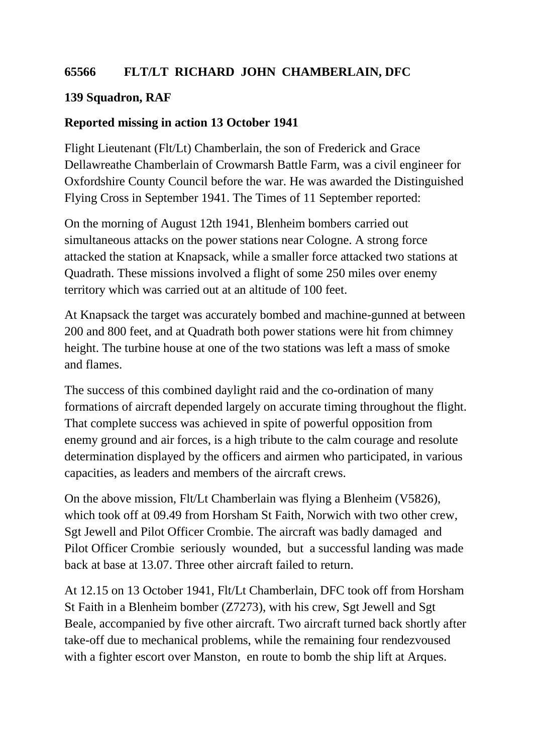## **65566 FLT/LT RICHARD JOHN CHAMBERLAIN, DFC**

## **139 Squadron, RAF**

## **Reported missing in action 13 October 1941**

Flight Lieutenant (Flt/Lt) Chamberlain, the son of Frederick and Grace Dellawreathe Chamberlain of Crowmarsh Battle Farm, was a civil engineer for Oxfordshire County Council before the war. He was awarded the Distinguished Flying Cross in September 1941. The Times of 11 September reported:

On the morning of August 12th 1941, Blenheim bombers carried out simultaneous attacks on the power stations near Cologne. A strong force attacked the station at Knapsack, while a smaller force attacked two stations at Quadrath. These missions involved a flight of some 250 miles over enemy territory which was carried out at an altitude of 100 feet.

At Knapsack the target was accurately bombed and machine-gunned at between 200 and 800 feet, and at Quadrath both power stations were hit from chimney height. The turbine house at one of the two stations was left a mass of smoke and flames.

The success of this combined daylight raid and the co-ordination of many formations of aircraft depended largely on accurate timing throughout the flight. That complete success was achieved in spite of powerful opposition from enemy ground and air forces, is a high tribute to the calm courage and resolute determination displayed by the officers and airmen who participated, in various capacities, as leaders and members of the aircraft crews.

On the above mission, Flt/Lt Chamberlain was flying a Blenheim (V5826), which took off at 09.49 from Horsham St Faith, Norwich with two other crew, Sgt Jewell and Pilot Officer Crombie. The aircraft was badly damaged and Pilot Officer Crombie seriously wounded, but a successful landing was made back at base at 13.07. Three other aircraft failed to return.

At 12.15 on 13 October 1941, Flt/Lt Chamberlain, DFC took off from Horsham St Faith in a Blenheim bomber (Z7273), with his crew, Sgt Jewell and Sgt Beale, accompanied by five other aircraft. Two aircraft turned back shortly after take-off due to mechanical problems, while the remaining four rendezvoused with a fighter escort over Manston, en route to bomb the ship lift at Arques.